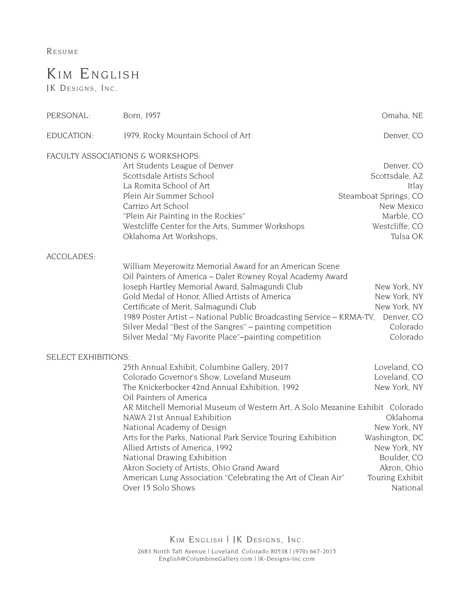**RESUME** 

## KIM ENGLISH

JK DESIGNS, INC.

| PERSONAL:                  | Born, 1957                                                                                                   | Omaha, NE             |
|----------------------------|--------------------------------------------------------------------------------------------------------------|-----------------------|
| EDUCATION:                 | 1979, Rocky Mountain School of Art                                                                           | Denver, CO            |
|                            | FACULTY ASSOCIATIONS & WORKSHOPS:                                                                            |                       |
|                            | Art Students League of Denver                                                                                | Denver, CO            |
|                            | Scottsdale Artists School                                                                                    | Scottsdale, AZ        |
|                            | La Romita School of Art                                                                                      | Itlay                 |
|                            | Plein Air Summer School                                                                                      | Steamboat Springs, CO |
|                            | Carrizo Art School                                                                                           | New Mexico            |
|                            | "Plein Air Painting in the Rockies"                                                                          | Marble, CO            |
|                            | Westcliffe Center for the Arts, Summer Workshops                                                             | Westcliffe, CO        |
|                            | Oklahoma Art Workshops,                                                                                      | Tulsa OK              |
| <b>ACCOLADES:</b>          |                                                                                                              |                       |
|                            | William Meyerowitz Memorial Award for an American Scene                                                      |                       |
|                            | Oil Painters of America - Daler Rowney Royal Academy Award<br>Joseph Hartley Memorial Award, Salmagundi Club | New York, NY          |
|                            | Gold Medal of Honor, Allied Artists of America                                                               | New York, NY          |
|                            | Certificate of Merit, Salmagundi Club                                                                        | New York, NY          |
|                            | 1989 Poster Artist - National Public Broadcasting Service - KRMA-TV,                                         | Denver, CO            |
|                            | Silver Medal "Best of the Sangres" - painting competition                                                    | Colorado              |
|                            | Silver Medal "My Favorite Place"-painting competition                                                        | Colorado              |
|                            |                                                                                                              |                       |
| <b>SELECT EXHIBITIONS:</b> |                                                                                                              |                       |
|                            | 25th Annual Exhibit, Columbine Gallery, 2017                                                                 | Loveland, CO          |
|                            | Colorado Governor's Show, Loveland Museum                                                                    | Loveland, CO          |
|                            | The Knickerbocker 42nd Annual Exhibition, 1992                                                               | New York, NY          |
|                            | Oil Painters of America                                                                                      |                       |
|                            | AR Mitchell Memorial Museum of Western Art, A Solo Mezanine Exhibit Colorado                                 |                       |
|                            | NAWA 21st Annual Exhibition                                                                                  | Oklahoma              |
|                            | National Academy of Design                                                                                   | New York, NY          |
|                            | Arts for the Parks, National Park Service Touring Exhibition                                                 | Washington, DC        |
|                            | Allied Artists of America, 1992                                                                              | New York, NY          |
|                            | National Drawing Exhibition                                                                                  | Boulder, CO           |
|                            | Akron Society of Artists, Ohio Grand Award                                                                   | Akron, Ohio           |
|                            | American Lung Association "Celebrating the Art of Clean Air"                                                 | Touring Exhibit       |
|                            | Over 15 Solo Shows                                                                                           | National              |